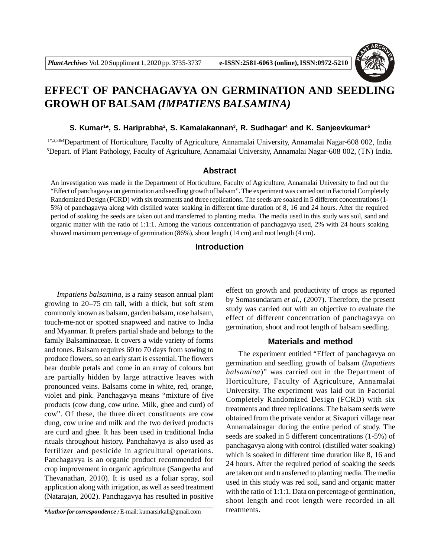

# **EFFECT OF PANCHAGAVYA ON GERMINATION AND SEEDLING GROWH OF BALSAM** *(IMPATIENS BALSAMINA)*

#### **S. Kumar<sup>1</sup> \*, S. Hariprabha<sup>2</sup> , S. Kamalakannan<sup>3</sup> , R. Sudhagar<sup>4</sup> and K. Sanjeevkumar<sup>5</sup>**

1\*,2,3&4Department of Horticulture, Faculty of Agriculture, Annamalai University, Annamalai Nagar-608 002, India <sup>5</sup>Depart. of Plant Pathology, Faculty of Agriculture, Annamalai University, Annamalai Nagar-608 002, (TN) India.

# **Abstract**

An investigation was made in the Department of Horticulture, Faculty of Agriculture, Annamalai University to find out the "Effect of panchagavya on germination and seedling growth of balsam". The experiment was carried out in Factorial Completely Randomized Design (FCRD) with six treatments and three replications. The seeds are soaked in 5 different concentrations (1- 5%) of panchagavya along with distilled water soaking in different time duration of 8, 16 and 24 hours. After the required period of soaking the seeds are taken out and transferred to planting media. The media used in this study was soil, sand and organic matter with the ratio of 1:1:1. Among the various concentration of panchagavya used, 2% with 24 hours soaking showed maximum percentage of germination (86%), shoot length (14 cm) and root length (4 cm).

# **Introduction**

*Impatiens balsamina*, is a rainy season annual plant growing to 20–75 cm tall, with a thick, but soft stem commonly known as balsam, garden balsam, rose balsam, touch-me-not or spotted snapweed and native to India and Myanmar. It prefers partial shade and belongs to the family Balsaminaceae. It covers a wide variety of forms and tones. Balsam requires 60 to 70 days from sowing to produce flowers, so an early start is essential. The flowers bear double petals and come in an array of colours but are partially hidden by large attractive leaves with pronounced veins. Balsams come in white, red, orange, violet and pink. Panchagavya means "mixture of five products (cow dung, cow urine. Milk, ghee and curd) of cow". Of these, the three direct constituents are cow dung, cow urine and milk and the two derived products are curd and ghee. It has been used in traditional India rituals throughout history. Panchahavya is also used as fertilizer and pesticide in agricultural operations. Panchagavya is an organic product recommended for crop improvement in organic agriculture (Sangeetha and Thevanathan, 2010). It is used as a foliar spray, soil application along with irrigation, as well as seed treatment (Natarajan, 2002). Panchagavya has resulted in positive

*\*Author for correspondence :* E-mail: kumarsirkali@gmail.com

effect on growth and productivity of crops as reported by Somasundaram *et al.*, (2007). Therefore, the present study was carried out with an objective to evaluate the effect of different concentration of panchagavya on germination, shoot and root length of balsam seedling.

#### **Materials and method**

The experiment entitled "Effect of panchagavya on germination and seedling growth of balsam (*Impatiens balsamina*)" was carried out in the Department of Horticulture, Faculty of Agriculture, Annamalai University. The experiment was laid out in Factorial Completely Randomized Design (FCRD) with six treatments and three replications. The balsam seeds were obtained from the private vendor at Sivapuri village near Annamalainagar during the entire period of study. The seeds are soaked in 5 different concentrations (1-5%) of panchagavya along with control (distilled water soaking) which is soaked in different time duration like 8, 16 and 24 hours. After the required period of soaking the seeds are taken out and transferred to planting media. The media used in this study was red soil, sand and organic matter with the ratio of 1:1:1. Data on percentage of germination, shoot length and root length were recorded in all treatments.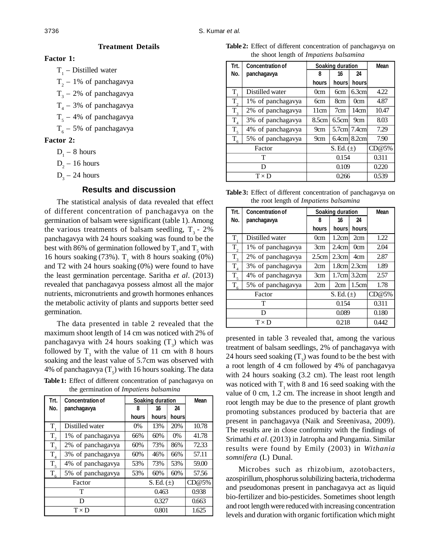## **Treatment Details**

## **Factor 1:**

 $T_1$  – Distilled water

- $T_2$  1% of panchagavya
- $T_3$  2% of panchagavya
- $T_4$  3% of panchagavya
- $T_5$  4% of panchagavya
- $T_6$  5% of panchagavya

# **Factor 2:**

- $D_1 8$  hours
- $D_2 16$  hours
- $D_3 24$  hours

# **Results and discussion**

The statistical analysis of data revealed that effect of different concentration of panchagavya on the germination of balsam were significant (table 1). Among the various treatments of balsam seedling,  $T<sub>3</sub>$  - 2% panchagavya with 24 hours soaking was found to be the best with 86% of germination followed by  $T_3$  and  $T_5$  with 16 hours soaking (73%).  $T_1$  with 8 hours soaking (0%) and T2 with 24 hours soaking (0%) were found to have the least germination percentage. Saritha *et al*. (2013) revealed that panchagavya possess almost all the major nutrients, micronutrients and growth hormones enhances the metabolic activity of plants and supports better seed germination.

The data presented in table 2 revealed that the maximum shoot length of 14 cm was noticed with 2% of panchagavya with 24 hours soaking  $(T_3)$  which was followed by  $T_3$  with the value of 11 cm with 8 hours soaking and the least value of 5.7cm was observed with 4% of panchagavya  $(T_s)$  with 16 hours soaking. The data

**Table 1:** Effect of different concentration of panchagavya on the germination of *Impatiens balsamina*

| Trt.           | <b>Concentration of</b> | Soaking duration |       |              | Mean  |
|----------------|-------------------------|------------------|-------|--------------|-------|
| No.            | panchagavya             | 8                | 16    | 24           |       |
|                |                         | hours            | hours | <b>hours</b> |       |
| T.             | Distilled water         | $0\%$            | 13%   | 20%          | 10.78 |
| $T_{2}$        | 1% of panchagavya       | 66%              | 60%   | 0%           | 41.78 |
| $T_{3}$        | 2% of panchagavya       | 60%              | 73%   | 86%          | 72.33 |
| $T_{4}$        | 3% of panchagavya       | 60%              | 46%   | 66%          | 57.11 |
| T <sub>5</sub> | 4% of panchagavya       | 53%              | 73%   | 53%          | 59.00 |
| $T_{6}$        | 5% of panchagavya       | 53%              | 60%   | 60%          | 57.56 |
| Factor         |                         | $S. Ed.(\pm)$    |       |              | CD@5% |
| т              |                         | 0.463            |       |              | 0.938 |
| D              |                         | 0.327            |       |              | 0.663 |
| $T \times D$   |                         | 0.801            |       |              | 1.625 |

**Table 2:** Effect of different concentration of panchagavya on the shoot length of *Impatiens balsamina*

| Trt.         | <b>Concentration of</b> | Soaking duration |          |                         | <b>Mean</b> |
|--------------|-------------------------|------------------|----------|-------------------------|-------------|
| No.          | panchagavya             | 8                | 16       | 24                      |             |
|              |                         | hours            | hours    | hours                   |             |
| T,           | Distilled water         | 0cm              | 6cm      | 6.3cm                   | 4.22        |
| $T_{2}$      | 1% of panchagavya       | 6cm              | 8cm      | 0cm                     | 4.87        |
| $T_3$        | 2% of panchagavya       | 11cm             | 7cm      | 14cm                    | 10.47       |
| $T_{4}$      | 3% of panchagavya       | 8.5cm            | 6.5cm    | 9cm                     | 8.03        |
| $T_{5}$      | 4% of panchagavya       | 9cm              | $5.7$ cm | 7.4cml                  | 7.29        |
| $T_{6}$      | 5% of panchagavya       | 9cm              |          | $6.4$ cm $\vert 8.2$ cm | 7.90        |
| Factor       |                         | $S. Ed.(\pm)$    |          |                         | CD@5%       |
| т            |                         | 0.154            |          |                         | 0.311       |
| D            |                         | 0.109            |          |                         | 0.220       |
| $T \times D$ |                         | 0.266            |          |                         | 0.539       |

|                                        | Table 3: Effect of different concentration of panchagavya on |  |  |  |
|----------------------------------------|--------------------------------------------------------------|--|--|--|
| the root length of Impatiens balsamina |                                                              |  |  |  |

| Trt.           | <b>Concentration of</b> | Soaking duration |          |                              | <b>Mean</b> |
|----------------|-------------------------|------------------|----------|------------------------------|-------------|
| No.            | panchagavya             | 8                | 16       | 24                           |             |
|                |                         | hours            | hours    | hours                        |             |
| T.             | Distilled water         | 0cm              | 1.2cm    | 2cm                          | 1.22        |
| $T_{2}$        | 1% of panchagavya       | 3cm              | 2.4cm    | 0cm                          | 2.04        |
| $T_{3}$        | 2% of panchagavya       | 2.5cm            | $2.3$ cm | 4cm                          | 2.87        |
| $T_{4}$        | 3% of panchagavya       | 2cm              |          | 1.8cm 2.3cm                  | 1.89        |
| T <sub>5</sub> | 4% of panchagavya       | 3cm              |          | $1.7$ cm $\mid$ 3.2cm $\mid$ | 2.57        |
| $T_{\epsilon}$ | 5% of panchagavya       | 2cm              | 2cm      | 1.5cm                        | 1.78        |
| Factor         |                         | $S. Ed.(\pm)$    |          |                              | CD@5%       |
| т              |                         | 0.154            |          |                              | 0.311       |
| D              |                         | 0.089            |          |                              | 0.180       |
| $T \times D$   |                         | 0.218            |          |                              | 0.442       |

presented in table 3 revealed that, among the various treatment of balsam seedlings, 2% of panchagavya with 24 hours seed soaking  $(T_3)$  was found to be the best with a root length of 4 cm followed by 4% of panchagavya with 24 hours soaking (3.2 cm). The least root length was noticed with  $T<sub>1</sub>$  with 8 and 16 seed soaking with the value of 0 cm, 1.2 cm. The increase in shoot length and root length may be due to the presence of plant growth promoting substances produced by bacteria that are present in panchagavya (Naik and Sreenivasa, 2009). The results are in close conformity with the findings of Srimathi *et al*. (2013) in Jatropha and Pungamia. Similar results were found by Emily (2003) in *Withania somnifera* (L) Dunal.

Microbes such as rhizobium, azotobacters, azospirillum, phosphorus solubilizing bacteria, trichoderma and pseudomonas present in panchagavya act as liquid bio-fertilizer and bio-pesticides. Sometimes shoot length and root length were reduced with increasing concentration levels and duration with organic fortification which might